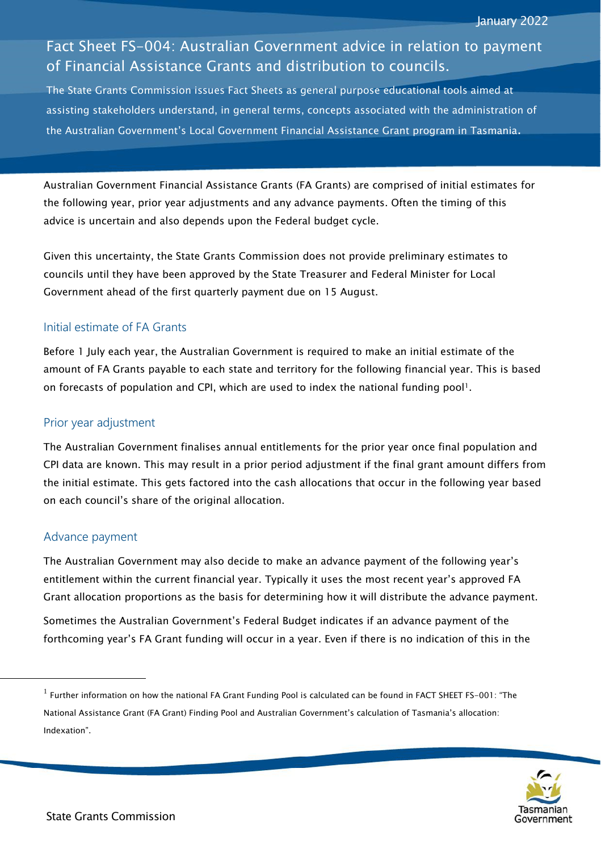# Fact Sheet FS-004: Australian Government advice in relation to payment of Financial Assistance Grants and distribution to councils.

The State Grants Commission issues Fact Sheets as general purpose educational tools aimed at assisting stakeholders understand, in general terms, concepts associated with the administration of the Australian Government's Local Government Financial Assistance Grant program in Tasmania.

Australian Government Financial Assistance Grants (FA Grants) are comprised of initial estimates for the following year, prior year adjustments and any advance payments. Often the timing of this advice is uncertain and also depends upon the Federal budget cycle.

Given this uncertainty, the State Grants Commission does not provide preliminary estimates to councils until they have been approved by the State Treasurer and Federal Minister for Local Government ahead of the first quarterly payment due on 15 August.

## Initial estimate of FA Grants

Before 1 July each year, the Australian Government is required to make an initial estimate of the amount of FA Grants payable to each state and territory for the following financial year. This is based on forecasts of population and CPI, which are used to index the national funding pool!.

#### Prior year adjustment

The Australian Government finalises annual entitlements for the prior year once final population and CPI data are known. This may result in a prior period adjustment if the final grant amount differs from the initial estimate. This gets factored into the cash allocations that occur in the following year based on each council's share of the original allocation.

## Advance payment

l

The Australian Government may also decide to make an advance payment of the following year's entitlement within the current financial year. Typically it uses the most recent year's approved FA Grant allocation proportions as the basis for determining how it will distribute the advance payment.

Sometimes the Australian Government's Federal Budget indicates if an advance payment of the forthcoming year's FA Grant funding will occur in a year. Even if there is no indication of this in the

 $^1$  Further information on how the national FA Grant Funding Pool is calculated can be found in FACT SHEET FS-001: "The National Assistance Grant (FA Grant) Finding Pool and Australian Government's calculation of Tasmania's allocation: Indexation".